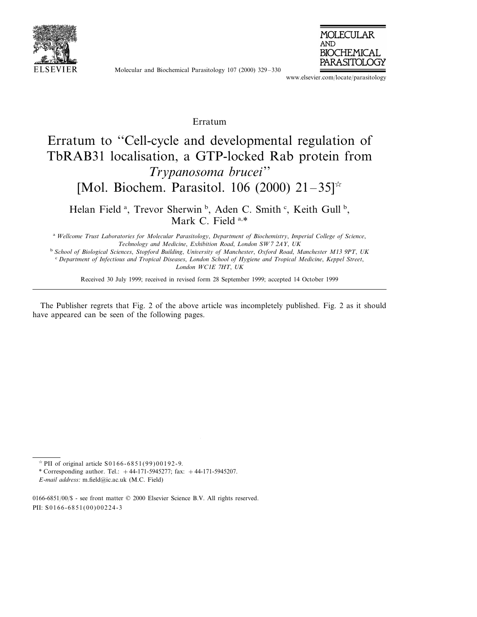

Molecular and Biochemical Parasitology 107 (2000) 329–330



www.elsevier.com/locate/parasitology

## Erratum

## Erratum to ''Cell-cycle and developmental regulation of TbRAB31 localisation, a GTP-locked Rab protein from *Trypanosoma brucei*'' [Mol. Biochem. Parasitol. 106 (2000)  $21-35$ <sup> $\approx$ </sup>

Helan Field<sup>a</sup>, Trevor Sherwin<sup>b</sup>, Aden C. Smith<sup>c</sup>, Keith Gull<sup>b</sup>, Mark C. Field a,\*

<sup>a</sup> *Wellcome Trust Laboratories for Molecular Parasitology*, *Department of Biochemistry*, *Imperial College of Science*, *Technology and Medicine*, *Exhibition Road*, *London SW*<sup>7</sup> <sup>2</sup>*AY*, *UK*

<sup>b</sup> *School of Biological Sciences*, *Stopford Building*, *Uni*6*ersity of Manchester*, *Oxford Road*, *Manchester M*<sup>13</sup> <sup>9</sup>*PT*, *UK*

<sup>c</sup> *Department of Infectious and Tropical Diseases*, *London School of Hygiene and Tropical Medicine*, *Keppel Street*, *London WC*1*E* <sup>7</sup>*HT*, *UK*

Received 30 July 1999; received in revised form 28 September 1999; accepted 14 October 1999

The Publisher regrets that Fig. 2 of the above article was incompletely published. Fig. 2 as it should have appeared can be seen of the following pages.

 $*$  PII of original article S0166-6851(99)00192-9.

<sup>\*</sup> Corresponding author. Tel.:  $+44-171-5945277$ ; fax:  $+44-171-5945207$ .

*E*-*mail address*: m.field@ic.ac.uk (M.C. Field)